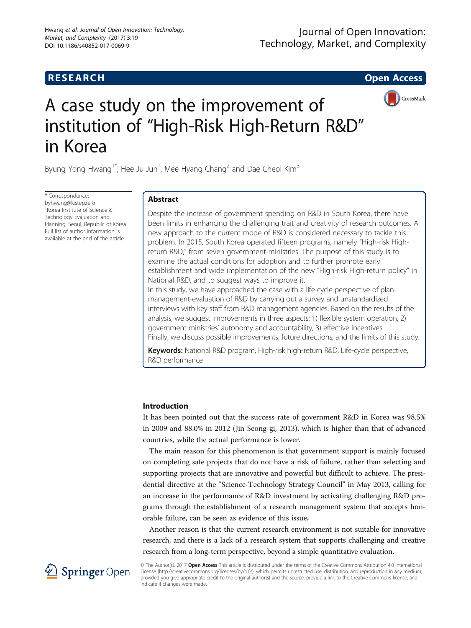# **RESEARCH RESEARCH CONSUMING ACCESS**



# A case study on the improvement of institution of "High-Risk High-Return R&D" in Korea

Byung Yong Hwang<sup>1\*</sup>, Hee Ju Jun<sup>1</sup>, Mee Hyang Chang<sup>2</sup> and Dae Cheol Kim<sup>3</sup>

\* Correspondence: [byhwang@kistep.re.kr](mailto:byhwang@kistep.re.kr) 1 Korea Institute of Science & Technology Evaluation and Planning, Seoul, Republic of Korea Full list of author information is available at the end of the article

# Abstract

Despite the increase of government spending on R&D in South Korea, there have been limits in enhancing the challenging trait and creativity of research outcomes. A new approach to the current mode of R&D is considered necessary to tackle this problem. In 2015, South Korea operated fifteen programs, namely "High-risk Highreturn R&D," from seven government ministries. The purpose of this study is to examine the actual conditions for adoption and to further promote early establishment and wide implementation of the new "High-risk High-return policy" in National R&D, and to suggest ways to improve it. In this study, we have approached the case with a life-cycle perspective of planmanagement-evaluation of R&D by carrying out a survey and unstandardized interviews with key staff from R&D management agencies. Based on the results of the analysis, we suggest improvements in three aspects: 1) flexible system operation, 2) government ministries' autonomy and accountability, 3) effective incentives. Finally, we discuss possible improvements, future directions, and the limits of this study.

Keywords: National R&D program, High-risk high-return R&D, Life-cycle perspective, R&D performance

## Introduction

It has been pointed out that the success rate of government R&D in Korea was 98.5% in 2009 and 88.0% in 2012 (Jin Seong-gi, [2013](#page-12-0)), which is higher than that of advanced countries, while the actual performance is lower.

The main reason for this phenomenon is that government support is mainly focused on completing safe projects that do not have a risk of failure, rather than selecting and supporting projects that are innovative and powerful but difficult to achieve. The presidential directive at the "Science-Technology Strategy Council" in May 2013, calling for an increase in the performance of R&D investment by activating challenging R&D programs through the establishment of a research management system that accepts honorable failure, can be seen as evidence of this issue.

Another reason is that the current research environment is not suitable for innovative research, and there is a lack of a research system that supports challenging and creative research from a long-term perspective, beyond a simple quantitative evaluation.



© The Author(s). 2017 Open Access This article is distributed under the terms of the Creative Commons Attribution 4.0 International License [\(http://creativecommons.org/licenses/by/4.0/](http://creativecommons.org/licenses/by/4.0/)), which permits unrestricted use, distribution, and reproduction in any medium, provided you give appropriate credit to the original author(s) and the source, provide a link to the Creative Commons license, and indicate if changes were made.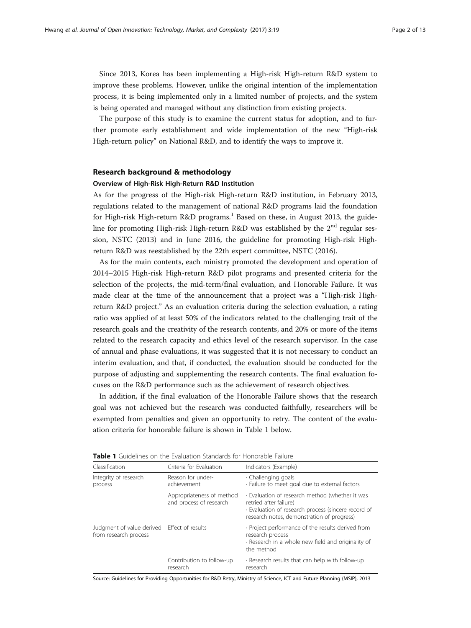Since 2013, Korea has been implementing a High-risk High-return R&D system to improve these problems. However, unlike the original intention of the implementation process, it is being implemented only in a limited number of projects, and the system is being operated and managed without any distinction from existing projects.

The purpose of this study is to examine the current status for adoption, and to further promote early establishment and wide implementation of the new "High-risk High-return policy" on National R&D, and to identify the ways to improve it.

#### Research background & methodology

#### Overview of High-Risk High-Return R&D Institution

As for the progress of the High-risk High-return R&D institution, in February 2013, regulations related to the management of national R&D programs laid the foundation for High-risk High-return R&D programs.<sup>1</sup> Based on these, in August 2013, the guideline for promoting High-risk High-return R&D was established by the  $2<sup>nd</sup>$  regular session, NSTC [\(2013\)](#page-12-0) and in June 2016, the guideline for promoting High-risk Highreturn R&D was reestablished by the 22th expert committee, NSTC ([2016](#page-12-0)).

As for the main contents, each ministry promoted the development and operation of 2014–2015 High-risk High-return R&D pilot programs and presented criteria for the selection of the projects, the mid-term/final evaluation, and Honorable Failure. It was made clear at the time of the announcement that a project was a "High-risk Highreturn R&D project." As an evaluation criteria during the selection evaluation, a rating ratio was applied of at least 50% of the indicators related to the challenging trait of the research goals and the creativity of the research contents, and 20% or more of the items related to the research capacity and ethics level of the research supervisor. In the case of annual and phase evaluations, it was suggested that it is not necessary to conduct an interim evaluation, and that, if conducted, the evaluation should be conducted for the purpose of adjusting and supplementing the research contents. The final evaluation focuses on the R&D performance such as the achievement of research objectives.

In addition, if the final evaluation of the Honorable Failure shows that the research goal was not achieved but the research was conducted faithfully, researchers will be exempted from penalties and given an opportunity to retry. The content of the evaluation criteria for honorable failure is shown in Table 1 below.

| Classification                                                       | Criteria for Evaluation                              | Indicators (Example)                                                                                                                                                           |
|----------------------------------------------------------------------|------------------------------------------------------|--------------------------------------------------------------------------------------------------------------------------------------------------------------------------------|
| Integrity of research<br>process                                     | Reason for under-<br>achievement                     | · Challenging goals<br>· Failure to meet goal due to external factors                                                                                                          |
|                                                                      | Appropriateness of method<br>and process of research | · Evaluation of research method (whether it was<br>retried after failure)<br>· Evaluation of research process (sincere record of<br>research notes, demonstration of progress) |
| Judgment of value derived Effect of results<br>from research process |                                                      | · Project performance of the results derived from<br>research process<br>Research in a whole new field and originality of<br>the method                                        |
|                                                                      | Contribution to follow-up<br>research                | Research results that can help with follow-up<br>research                                                                                                                      |

Table 1 Guidelines on the Evaluation Standards for Honorable Failure

Source: Guidelines for Providing Opportunities for R&D Retry, Ministry of Science, ICT and Future Planning (MSIP), 2013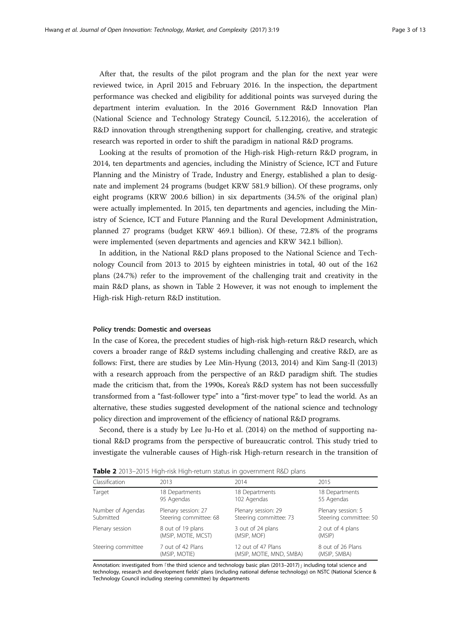After that, the results of the pilot program and the plan for the next year were reviewed twice, in April 2015 and February 2016. In the inspection, the department performance was checked and eligibility for additional points was surveyed during the department interim evaluation. In the 2016 Government R&D Innovation Plan (National Science and Technology Strategy Council, 5.12[.2016\)](#page-11-0), the acceleration of R&D innovation through strengthening support for challenging, creative, and strategic research was reported in order to shift the paradigm in national R&D programs.

Looking at the results of promotion of the High-risk High-return R&D program, in 2014, ten departments and agencies, including the Ministry of Science, ICT and Future Planning and the Ministry of Trade, Industry and Energy, established a plan to designate and implement 24 programs (budget KRW 581.9 billion). Of these programs, only eight programs (KRW 200.6 billion) in six departments (34.5% of the original plan) were actually implemented. In 2015, ten departments and agencies, including the Ministry of Science, ICT and Future Planning and the Rural Development Administration, planned 27 programs (budget KRW 469.1 billion). Of these, 72.8% of the programs were implemented (seven departments and agencies and KRW 342.1 billion).

In addition, in the National R&D plans proposed to the National Science and Technology Council from 2013 to 2015 by eighteen ministries in total, 40 out of the 162 plans (24.7%) refer to the improvement of the challenging trait and creativity in the main R&D plans, as shown in Table 2 However, it was not enough to implement the High-risk High-return R&D institution.

#### Policy trends: Domestic and overseas

In the case of Korea, the precedent studies of high-risk high-return R&D research, which covers a broader range of R&D systems including challenging and creative R&D, are as follows: First, there are studies by Lee Min-Hyung ([2013, 2014\)](#page-12-0) and Kim Sang-Il [\(2013](#page-12-0)) with a research approach from the perspective of an R&D paradigm shift. The studies made the criticism that, from the 1990s, Korea's R&D system has not been successfully transformed from a "fast-follower type" into a "first-mover type" to lead the world. As an alternative, these studies suggested development of the national science and technology policy direction and improvement of the efficiency of national R&D programs.

Second, there is a study by Lee Ju-Ho et al. ([2014](#page-12-0)) on the method of supporting national R&D programs from the perspective of bureaucratic control. This study tried to investigate the vulnerable causes of High-risk High-return research in the transition of

| Table 2 2013-2015 High-risk High-return status in government R&D plans |  |
|------------------------------------------------------------------------|--|
|------------------------------------------------------------------------|--|

| Classification     | 2013                   | 2014                     | 2015                   |
|--------------------|------------------------|--------------------------|------------------------|
| Target             | 18 Departments         | 18 Departments           | 18 Departments         |
|                    | 95 Agendas             | 102 Agendas              | 55 Agendas             |
| Number of Agendas  | Plenary session: 27    | Plenary session: 29      | Plenary session: 5     |
| Submitted          | Steering committee: 68 | Steering committee: 73   | Steering committee: 50 |
| Plenary session    | 8 out of 19 plans      | 3 out of 24 plans        | 2 out of 4 plans       |
|                    | (MSIP, MOTIE, MCST)    | (MSIP, MOF)              | (MSIP)                 |
| Steering committee | 7 out of 42 Plans      | 12 out of 47 Plans       | 8 out of 26 Plans      |
|                    | (MSIP, MOTIE)          | (MSIP, MOTIE, MND, SMBA) | (MSIP, SMBA)           |

Annotation: investigated from 「the third science and technology basic plan (2013–2017) j including total science and technology, research and development fields' plans (including national defense technology) on NSTC (National Science & Technology Council including steering committee) by departments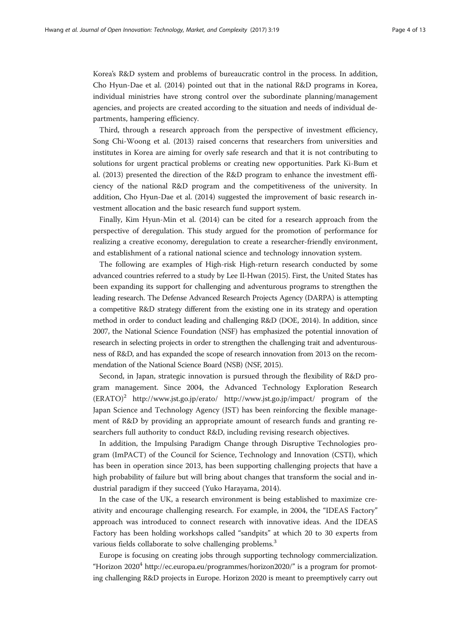Korea's R&D system and problems of bureaucratic control in the process. In addition, Cho Hyun-Dae et al. ([2014\)](#page-12-0) pointed out that in the national R&D programs in Korea, individual ministries have strong control over the subordinate planning/management agencies, and projects are created according to the situation and needs of individual departments, hampering efficiency.

Third, through a research approach from the perspective of investment efficiency, Song Chi-Woong et al. ([2013](#page-12-0)) raised concerns that researchers from universities and institutes in Korea are aiming for overly safe research and that it is not contributing to solutions for urgent practical problems or creating new opportunities. Park Ki-Bum et al. [\(2013\)](#page-12-0) presented the direction of the R&D program to enhance the investment efficiency of the national R&D program and the competitiveness of the university. In addition, Cho Hyun-Dae et al. (2014) suggested the improvement of basic research investment allocation and the basic research fund support system.

Finally, Kim Hyun-Min et al. [\(2014\)](#page-12-0) can be cited for a research approach from the perspective of deregulation. This study argued for the promotion of performance for realizing a creative economy, deregulation to create a researcher-friendly environment, and establishment of a rational national science and technology innovation system.

The following are examples of High-risk High-return research conducted by some advanced countries referred to a study by Lee Il-Hwan [\(2015\)](#page-12-0). First, the United States has been expanding its support for challenging and adventurous programs to strengthen the leading research. The Defense Advanced Research Projects Agency (DARPA) is attempting a competitive R&D strategy different from the existing one in its strategy and operation method in order to conduct leading and challenging R&D (DOE, [2014](#page-11-0)). In addition, since 2007, the National Science Foundation (NSF) has emphasized the potential innovation of research in selecting projects in order to strengthen the challenging trait and adventurousness of R&D, and has expanded the scope of research innovation from 2013 on the recommendation of the National Science Board (NSB) (NSF, [2015\)](#page-12-0).

Second, in Japan, strategic innovation is pursued through the flexibility of R&D program management. Since 2004, the Advanced Technology Exploration Research (ERATO)<sup>2</sup> <http://www.jst.go.jp/erato>/<http://www.jst.go.jp/impact/> program of the Japan Science and Technology Agency (JST) has been reinforcing the flexible management of R&D by providing an appropriate amount of research funds and granting researchers full authority to conduct R&D, including revising research objectives.

In addition, the Impulsing Paradigm Change through Disruptive Technologies program (ImPACT) of the Council for Science, Technology and Innovation (CSTI), which has been in operation since 2013, has been supporting challenging projects that have a high probability of failure but will bring about changes that transform the social and industrial paradigm if they succeed (Yuko Harayama, [2014](#page-11-0)).

In the case of the UK, a research environment is being established to maximize creativity and encourage challenging research. For example, in 2004, the "IDEAS Factory" approach was introduced to connect research with innovative ideas. And the IDEAS Factory has been holding workshops called "sandpits" at which 20 to 30 experts from various fields collaborate to solve challenging problems.<sup>3</sup>

Europe is focusing on creating jobs through supporting technology commercialization. "Horizon 2020<sup>4</sup> [http://ec.europa.eu/programmes/horizon2020/](http://ec.europa.eu/programmes/horizon2020)" is a program for promoting challenging R&D projects in Europe. Horizon 2020 is meant to preemptively carry out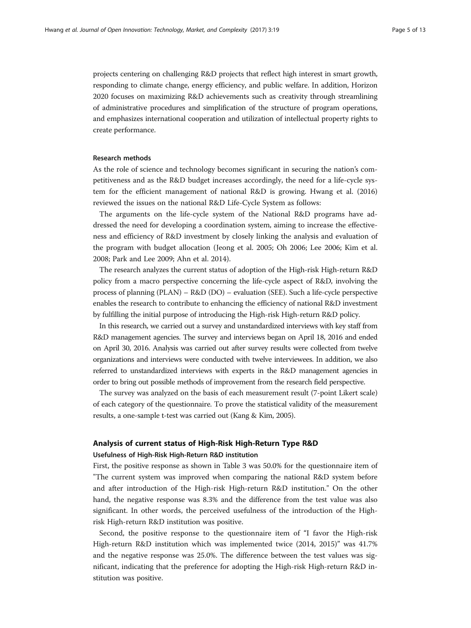projects centering on challenging R&D projects that reflect high interest in smart growth, responding to climate change, energy efficiency, and public welfare. In addition, Horizon 2020 focuses on maximizing R&D achievements such as creativity through streamlining of administrative procedures and simplification of the structure of program operations, and emphasizes international cooperation and utilization of intellectual property rights to create performance.

## Research methods

As the role of science and technology becomes significant in securing the nation's competitiveness and as the R&D budget increases accordingly, the need for a life-cycle system for the efficient management of national R&D is growing. Hwang et al. ([2016](#page-11-0)) reviewed the issues on the national R&D Life-Cycle System as follows:

The arguments on the life-cycle system of the National R&D programs have addressed the need for developing a coordination system, aiming to increase the effectiveness and efficiency of R&D investment by closely linking the analysis and evaluation of the program with budget allocation (Jeong et al. [2005](#page-11-0); Oh [2006](#page-12-0); Lee [2006](#page-12-0); Kim et al. [2008](#page-12-0); Park and Lee [2009;](#page-12-0) Ahn et al. [2014\)](#page-11-0).

The research analyzes the current status of adoption of the High-risk High-return R&D policy from a macro perspective concerning the life-cycle aspect of R&D, involving the process of planning (PLAN) – R&D (DO) – evaluation (SEE). Such a life-cycle perspective enables the research to contribute to enhancing the efficiency of national R&D investment by fulfilling the initial purpose of introducing the High-risk High-return R&D policy.

In this research, we carried out a survey and unstandardized interviews with key staff from R&D management agencies. The survey and interviews began on April 18, 2016 and ended on April 30, 2016. Analysis was carried out after survey results were collected from twelve organizations and interviews were conducted with twelve interviewees. In addition, we also referred to unstandardized interviews with experts in the R&D management agencies in order to bring out possible methods of improvement from the research field perspective.

The survey was analyzed on the basis of each measurement result (7-point Likert scale) of each category of the questionnaire. To prove the statistical validity of the measurement results, a one-sample t-test was carried out (Kang & Kim, [2005\)](#page-12-0).

#### Analysis of current status of High-Risk High-Return Type R&D

### Usefulness of High-Risk High-Return R&D institution

First, the positive response as shown in Table [3](#page-5-0) was 50.0% for the questionnaire item of "The current system was improved when comparing the national R&D system before and after introduction of the High-risk High-return R&D institution." On the other hand, the negative response was 8.3% and the difference from the test value was also significant. In other words, the perceived usefulness of the introduction of the Highrisk High-return R&D institution was positive.

Second, the positive response to the questionnaire item of "I favor the High-risk High-return R&D institution which was implemented twice (2014, 2015)" was 41.7% and the negative response was 25.0%. The difference between the test values was significant, indicating that the preference for adopting the High-risk High-return R&D institution was positive.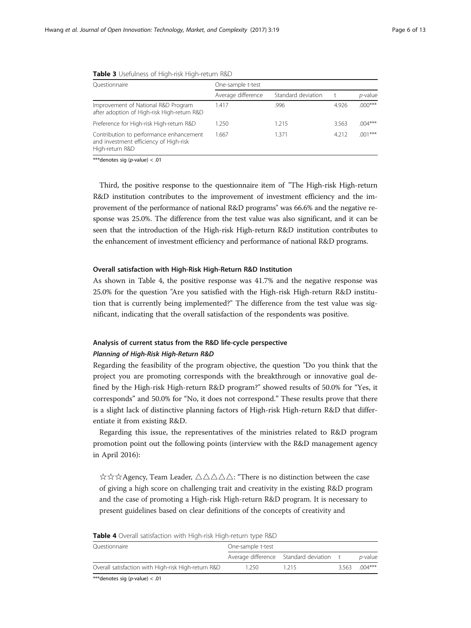| Ouestionnaire                                                                                        | One-sample t-test  |                    |       |            |  |  |  |
|------------------------------------------------------------------------------------------------------|--------------------|--------------------|-------|------------|--|--|--|
|                                                                                                      | Average difference | Standard deviation |       | $p$ -value |  |  |  |
| Improvement of National R&D Program<br>after adoption of High-risk High-return R&D                   | 1.417              | .996               | 4.926 | $.000***$  |  |  |  |
| Preference for High-risk High-return R&D                                                             | 1.250              | 1.215              | 3.563 | $.004***$  |  |  |  |
| Contribution to performance enhancement<br>and investment efficiency of High-risk<br>High-return R&D | 1.667              | 1.371              | 4.212 | $.001***$  |  |  |  |

<span id="page-5-0"></span>

|  |  |  |  |  |  |  |  |  |  |  | <b>Table 3</b> Usefulness of High-risk High-return R&D |  |
|--|--|--|--|--|--|--|--|--|--|--|--------------------------------------------------------|--|
|--|--|--|--|--|--|--|--|--|--|--|--------------------------------------------------------|--|

\*\*\*denotes sig (p-value) < .01

Third, the positive response to the questionnaire item of "The High-risk High-return R&D institution contributes to the improvement of investment efficiency and the improvement of the performance of national R&D programs" was 66.6% and the negative response was 25.0%. The difference from the test value was also significant, and it can be seen that the introduction of the High-risk High-return R&D institution contributes to the enhancement of investment efficiency and performance of national R&D programs.

#### Overall satisfaction with High-Risk High-Return R&D Institution

As shown in Table 4, the positive response was 41.7% and the negative response was 25.0% for the question "Are you satisfied with the High-risk High-return R&D institution that is currently being implemented?" The difference from the test value was significant, indicating that the overall satisfaction of the respondents was positive.

# Analysis of current status from the R&D life-cycle perspective

Planning of High-Rism High-Rism Risk High-Rism Regarding the feasibility of the program objective, the question "Do you think that the project you are promoting corresponds with the breakthrough or innovative goal defined by the High-risk High-return R&D program?" showed results of 50.0% for "Yes, it corresponds" and 50.0% for "No, it does not correspond." These results prove that there is a slight lack of distinctive planning factors of High-risk High-return R&D that differentiate it from existing R&D.

Regarding this issue, the representatives of the ministries related to R&D program promotion point out the following points (interview with the R&D management agency in April 2016):

☆☆☆Agency, Team Leader, △△△△△: "There is no distinction between the case of giving a high score on challenging trait and creativity in the existing R&D program and the case of promoting a High-risk High-return R&D program. It is necessary to present guidelines based on clear definitions of the concepts of creativity and

| Ouestionnaire                                       | One-sample t-test |                                         |       |                 |  |  |
|-----------------------------------------------------|-------------------|-----------------------------------------|-------|-----------------|--|--|
|                                                     |                   | Average difference Standard deviation t |       | <i>p</i> -value |  |  |
| Overall satisfaction with High-risk High-return R&D | 1 250.            | 215                                     | 3.563 | $004***$        |  |  |

\*\*\*denotes sig (p-value) < .01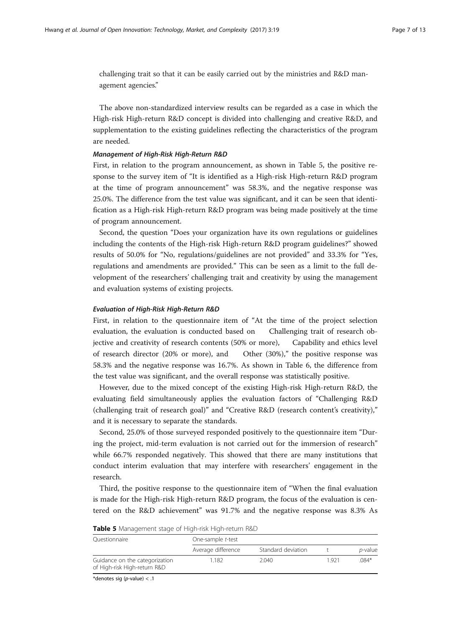challenging trait so that it can be easily carried out by the ministries and R&D management agencies."

The above non-standardized interview results can be regarded as a case in which the High-risk High-return R&D concept is divided into challenging and creative R&D, and supplementation to the existing guidelines reflecting the characteristics of the program are needed.

First, in relation to the program announcement, as shown in Table 5, the positive response to the survey item of "It is identified as a High-risk High-return R&D program at the time of program announcement" was 58.3%, and the negative response was 25.0%. The difference from the test value was significant, and it can be seen that identification as a High-risk High-return R&D program was being made positively at the time of program announcement.

Second, the question "Does your organization have its own regulations or guidelines including the contents of the High-risk High-return R&D program guidelines?" showed results of 50.0% for "No, regulations/guidelines are not provided" and 33.3% for "Yes, regulations and amendments are provided." This can be seen as a limit to the full development of the researchers' challenging trait and creativity by using the management and evaluation systems of existing projects.

First, in relation to the questionnaire item of "At the time of the project selection evaluation, the evaluation is conducted based on Challenging trait of research objective and creativity of research contents (50% or more), Capability and ethics level of research director (20% or more), and Other (30%)," the positive response was 58.3% and the negative response was 16.7%. As shown in Table [6,](#page-7-0) the difference from the test value was significant, and the overall response was statistically positive.

However, due to the mixed concept of the existing High-risk High-return R&D, the evaluating field simultaneously applies the evaluation factors of "Challenging R&D (challenging trait of research goal)" and "Creative R&D (research content's creativity)," and it is necessary to separate the standards.

Second, 25.0% of those surveyed responded positively to the questionnaire item "During the project, mid-term evaluation is not carried out for the immersion of research" while 66.7% responded negatively. This showed that there are many institutions that conduct interim evaluation that may interfere with researchers' engagement in the research.

Third, the positive response to the questionnaire item of "When the final evaluation is made for the High-risk High-return R&D program, the focus of the evaluation is centered on the R&D achievement" was 91.7% and the negative response was 8.3% As

| <b>TODIC 3</b> INCHILAGULE SLOUG OF FIGHT HON FIGHT ICLOHERING |                    |                    |      |                 |  |  |  |  |
|----------------------------------------------------------------|--------------------|--------------------|------|-----------------|--|--|--|--|
| Ouestionnaire                                                  | One-sample t-test  |                    |      |                 |  |  |  |  |
|                                                                | Average difference | Standard deviation |      | <i>p</i> -value |  |  |  |  |
| Guidance on the categorization<br>of High-risk High-return R&D | .182               | 2.040              | 1921 | $084*$          |  |  |  |  |

| Table 5 Management stage of High-risk High-return R&D |  |  |  |  |
|-------------------------------------------------------|--|--|--|--|
|-------------------------------------------------------|--|--|--|--|

\*denotes sig (p-value) < .1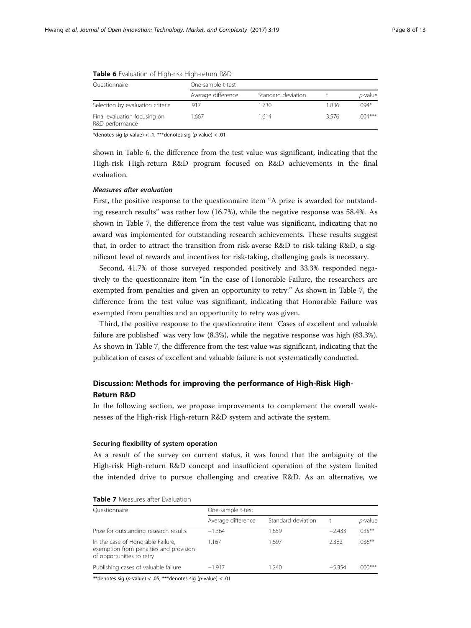| Questionnaire                                   | One-sample t-test  |                    |       |                 |  |  |  |
|-------------------------------------------------|--------------------|--------------------|-------|-----------------|--|--|--|
|                                                 | Average difference | Standard deviation |       | <i>p</i> -value |  |  |  |
| Selection by evaluation criteria                | .917               | 1.730              | 1.836 | $.094*$         |  |  |  |
| Final evaluation focusing on<br>R&D performance | 1.667              | 1.614              | 3576  | $.004***$       |  |  |  |

<span id="page-7-0"></span>

|  |  | <b>Table 6</b> Evaluation of High-risk High-return R&D |
|--|--|--------------------------------------------------------|
|--|--|--------------------------------------------------------|

\*denotes sig (p-value) <  $.1,$  \*\*\*denotes sig (p-value) <  $.01$ 

shown in Table 6, the difference from the test value was significant, indicating that the High-risk High-return R&D program focused on R&D achievements in the final evaluation.

### **Measures after evaluation**

First, the positive response to the questionnaire item "A prize is awarded for outstanding research results" was rather low (16.7%), while the negative response was 58.4%. As shown in Table 7, the difference from the test value was significant, indicating that no award was implemented for outstanding research achievements. These results suggest that, in order to attract the transition from risk-averse R&D to risk-taking R&D, a significant level of rewards and incentives for risk-taking, challenging goals is necessary.

Second, 41.7% of those surveyed responded positively and 33.3% responded negatively to the questionnaire item "In the case of Honorable Failure, the researchers are exempted from penalties and given an opportunity to retry." As shown in Table 7, the difference from the test value was significant, indicating that Honorable Failure was exempted from penalties and an opportunity to retry was given.

Third, the positive response to the questionnaire item "Cases of excellent and valuable failure are published" was very low (8.3%), while the negative response was high (83.3%). As shown in Table 7, the difference from the test value was significant, indicating that the publication of cases of excellent and valuable failure is not systematically conducted.

# Discussion: Methods for improving the performance of High-Risk High-Return R&D

In the following section, we propose improvements to complement the overall weaknesses of the High-risk High-return R&D system and activate the system.

#### Securing flexibility of system operation

As a result of the survey on current status, it was found that the ambiguity of the High-risk High-return R&D concept and insufficient operation of the system limited the intended drive to pursue challenging and creative R&D. As an alternative, we

| Questionnaire                                                                                            | One-sample t-test  |                    |          |            |
|----------------------------------------------------------------------------------------------------------|--------------------|--------------------|----------|------------|
|                                                                                                          | Average difference | Standard deviation |          | $p$ -value |
| Prize for outstanding research results                                                                   | $-1.364$           | 1.859              | $-2.433$ | $.035***$  |
| In the case of Honorable Failure,<br>exemption from penalties and provision<br>of opportunities to retry | 1.167              | 1.697              | 2.382    | $.036***$  |
| Publishing cases of valuable failure                                                                     | $-1.917$           | 1.240              | $-5.354$ | $.000$ *** |

# Table 7 Measures after Evaluation

\*\*denotes sig (p-value) < .05, \*\*\*denotes sig (p-value) < .01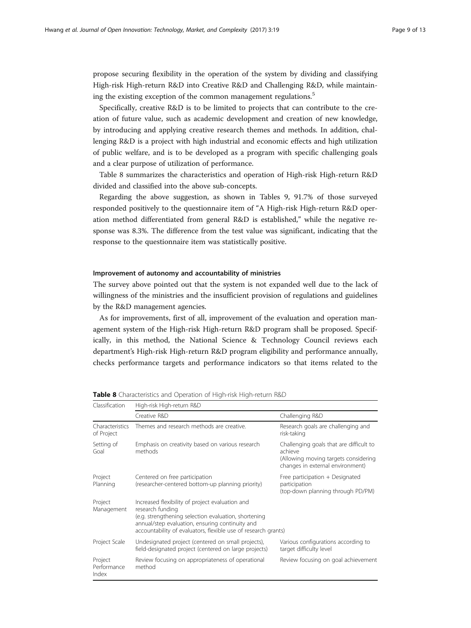propose securing flexibility in the operation of the system by dividing and classifying High-risk High-return R&D into Creative R&D and Challenging R&D, while maintaining the existing exception of the common management regulations.<sup>5</sup>

Specifically, creative R&D is to be limited to projects that can contribute to the creation of future value, such as academic development and creation of new knowledge, by introducing and applying creative research themes and methods. In addition, challenging R&D is a project with high industrial and economic effects and high utilization of public welfare, and is to be developed as a program with specific challenging goals and a clear purpose of utilization of performance.

Table 8 summarizes the characteristics and operation of High-risk High-return R&D divided and classified into the above sub-concepts.

Regarding the above suggestion, as shown in Tables [9,](#page-9-0) 91.7% of those surveyed responded positively to the questionnaire item of "A High-risk High-return R&D operation method differentiated from general R&D is established," while the negative response was 8.3%. The difference from the test value was significant, indicating that the response to the questionnaire item was statistically positive.

### Improvement of autonomy and accountability of ministries

The survey above pointed out that the system is not expanded well due to the lack of willingness of the ministries and the insufficient provision of regulations and guidelines by the R&D management agencies.

As for improvements, first of all, improvement of the evaluation and operation management system of the High-risk High-return R&D program shall be proposed. Specifically, in this method, the National Science & Technology Council reviews each department's High-risk High-return R&D program eligibility and performance annually, checks performance targets and performance indicators so that items related to the

| Classification                  | High-risk High-return R&D                                                                                                                                                                                                                        |                                                                                                                                |  |  |  |
|---------------------------------|--------------------------------------------------------------------------------------------------------------------------------------------------------------------------------------------------------------------------------------------------|--------------------------------------------------------------------------------------------------------------------------------|--|--|--|
|                                 | Creative R&D                                                                                                                                                                                                                                     | Challenging R&D                                                                                                                |  |  |  |
| Characteristics<br>of Project   | Themes and research methods are creative.                                                                                                                                                                                                        | Research goals are challenging and<br>risk-taking                                                                              |  |  |  |
| Setting of<br>Goal              | Emphasis on creativity based on various research<br>methods                                                                                                                                                                                      | Challenging goals that are difficult to<br>achieve<br>(Allowing moving targets considering<br>changes in external environment) |  |  |  |
| Project<br>Planning             | Centered on free participation<br>(researcher-centered bottom-up planning priority)                                                                                                                                                              | Free participation + Designated<br>participation<br>(top-down planning through PD/PM)                                          |  |  |  |
| Project<br>Management           | Increased flexibility of project evaluation and<br>research funding<br>(e.g. strengthening selection evaluation, shortening<br>annual/step evaluation, ensuring continuity and<br>accountability of evaluators, flexible use of research grants) |                                                                                                                                |  |  |  |
| Project Scale                   | Undesignated project (centered on small projects),<br>field-designated project (centered on large projects)                                                                                                                                      | Various configurations according to<br>target difficulty level                                                                 |  |  |  |
| Project<br>Performance<br>Index | Review focusing on appropriateness of operational<br>method                                                                                                                                                                                      | Review focusing on goal achievement                                                                                            |  |  |  |

Table 8 Characteristics and Operation of High-risk High-return R&D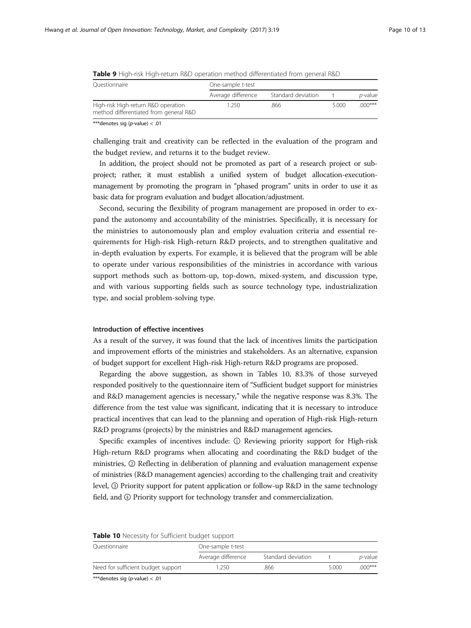| Ouestionnaire                                                                 | One-sample t-test  |                    |       |                 |
|-------------------------------------------------------------------------------|--------------------|--------------------|-------|-----------------|
|                                                                               | Average difference | Standard deviation |       | <i>p</i> -value |
| High-risk High-return R&D operation<br>method differentiated from general R&D | 1.250              | .866               | 5.000 | $000***$        |

<span id="page-9-0"></span>

| <b>Table 9</b> High-risk High-return R&D operation method differentiated from general R&D |  |  |  |
|-------------------------------------------------------------------------------------------|--|--|--|
|-------------------------------------------------------------------------------------------|--|--|--|

\*\*\*denotes sig (p-value) < .01

challenging trait and creativity can be reflected in the evaluation of the program and the budget review, and returns it to the budget review.

In addition, the project should not be promoted as part of a research project or subproject; rather, it must establish a unified system of budget allocation-executionmanagement by promoting the program in "phased program" units in order to use it as basic data for program evaluation and budget allocation/adjustment.

Second, securing the flexibility of program management are proposed in order to expand the autonomy and accountability of the ministries. Specifically, it is necessary for the ministries to autonomously plan and employ evaluation criteria and essential requirements for High-risk High-return R&D projects, and to strengthen qualitative and in-depth evaluation by experts. For example, it is believed that the program will be able to operate under various responsibilities of the ministries in accordance with various support methods such as bottom-up, top-down, mixed-system, and discussion type, and with various supporting fields such as source technology type, industrialization type, and social problem-solving type.

#### Introduction of effective incentives

As a result of the survey, it was found that the lack of incentives limits the participation and improvement efforts of the ministries and stakeholders. As an alternative, expansion of budget support for excellent High-risk High-return R&D programs are proposed.

Regarding the above suggestion, as shown in Tables 10, 83.3% of those surveyed responded positively to the questionnaire item of "Sufficient budget support for ministries and R&D management agencies is necessary," while the negative response was 8.3%. The difference from the test value was significant, indicating that it is necessary to introduce practical incentives that can lead to the planning and operation of High-risk High-return R&D programs (projects) by the ministries and R&D management agencies.

Specific examples of incentives include: ① Reviewing priority support for High-risk High-return R&D programs when allocating and coordinating the R&D budget of the ministries, ② Reflecting in deliberation of planning and evaluation management expense of ministries (R&D management agencies) according to the challenging trait and creativity level, ③ Priority support for patent application or follow-up R&D in the same technology field, and  $@$  Priority support for technology transfer and commercialization.

| <b>Table To</b> Necessity for Sufficient budget support |                    |                    |       |                 |  |
|---------------------------------------------------------|--------------------|--------------------|-------|-----------------|--|
| Ouestionnaire                                           | One-sample t-test  |                    |       |                 |  |
|                                                         | Average difference | Standard deviation |       | <i>p</i> -value |  |
| Need for sufficient budget support                      | 1.250.             | .866               | 5.000 | $000***$        |  |

## Table 10 Necessity for Sufficient budget support

\*\*\*denotes sig (p-value) < .01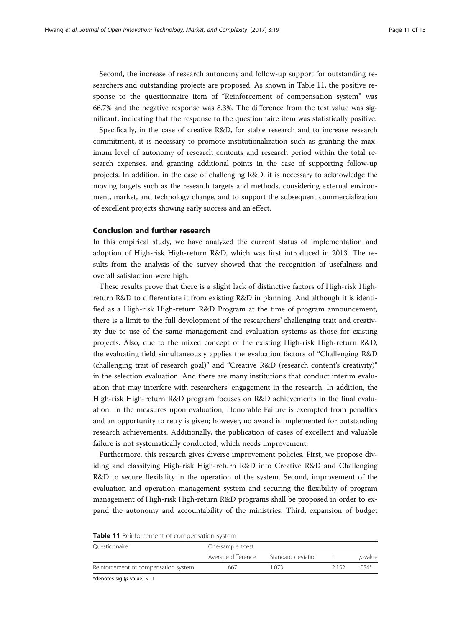Second, the increase of research autonomy and follow-up support for outstanding researchers and outstanding projects are proposed. As shown in Table 11, the positive response to the questionnaire item of "Reinforcement of compensation system" was 66.7% and the negative response was 8.3%. The difference from the test value was significant, indicating that the response to the questionnaire item was statistically positive.

Specifically, in the case of creative R&D, for stable research and to increase research commitment, it is necessary to promote institutionalization such as granting the maximum level of autonomy of research contents and research period within the total research expenses, and granting additional points in the case of supporting follow-up projects. In addition, in the case of challenging R&D, it is necessary to acknowledge the moving targets such as the research targets and methods, considering external environment, market, and technology change, and to support the subsequent commercialization of excellent projects showing early success and an effect.

#### Conclusion and further research

In this empirical study, we have analyzed the current status of implementation and adoption of High-risk High-return R&D, which was first introduced in 2013. The results from the analysis of the survey showed that the recognition of usefulness and overall satisfaction were high.

These results prove that there is a slight lack of distinctive factors of High-risk Highreturn R&D to differentiate it from existing R&D in planning. And although it is identified as a High-risk High-return R&D Program at the time of program announcement, there is a limit to the full development of the researchers' challenging trait and creativity due to use of the same management and evaluation systems as those for existing projects. Also, due to the mixed concept of the existing High-risk High-return R&D, the evaluating field simultaneously applies the evaluation factors of "Challenging R&D (challenging trait of research goal)" and "Creative R&D (research content's creativity)" in the selection evaluation. And there are many institutions that conduct interim evaluation that may interfere with researchers' engagement in the research. In addition, the High-risk High-return R&D program focuses on R&D achievements in the final evaluation. In the measures upon evaluation, Honorable Failure is exempted from penalties and an opportunity to retry is given; however, no award is implemented for outstanding research achievements. Additionally, the publication of cases of excellent and valuable failure is not systematically conducted, which needs improvement.

Furthermore, this research gives diverse improvement policies. First, we propose dividing and classifying High-risk High-return R&D into Creative R&D and Challenging R&D to secure flexibility in the operation of the system. Second, improvement of the evaluation and operation management system and securing the flexibility of program management of High-risk High-return R&D programs shall be proposed in order to expand the autonomy and accountability of the ministries. Third, expansion of budget

| <b>TADIC II</b> REILIOLECTIC IL OF COTTIDE ISAUDIT SYSTEM |                    |                    |      |                 |  |
|-----------------------------------------------------------|--------------------|--------------------|------|-----------------|--|
| Ouestionnaire                                             | One-sample t-test  |                    |      |                 |  |
|                                                           | Average difference | Standard deviation |      | <i>p</i> -value |  |
| Reinforcement of compensation system                      | .667               | 1 073              | 2152 | $054*$          |  |

|  |  | Table 11 Reinforcement of compensation system |  |  |  |
|--|--|-----------------------------------------------|--|--|--|
|--|--|-----------------------------------------------|--|--|--|

\*denotes sig (p-value) < .1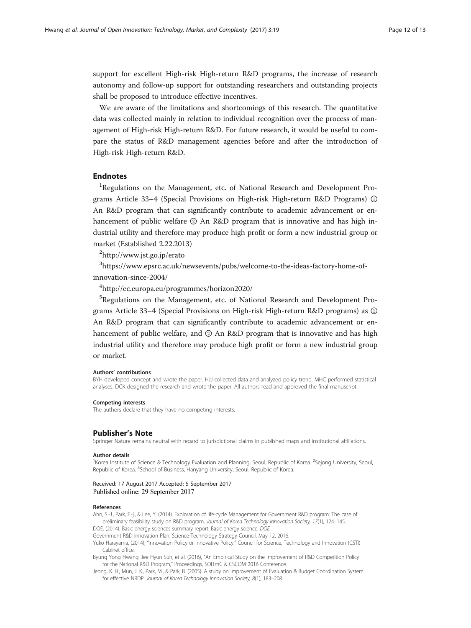<span id="page-11-0"></span>support for excellent High-risk High-return R&D programs, the increase of research autonomy and follow-up support for outstanding researchers and outstanding projects shall be proposed to introduce effective incentives.

We are aware of the limitations and shortcomings of this research. The quantitative data was collected mainly in relation to individual recognition over the process of management of High-risk High-return R&D. For future research, it would be useful to compare the status of R&D management agencies before and after the introduction of High-risk High-return R&D.

## Endnotes

<sup>1</sup>Regulations on the Management, etc. of National Research and Development Programs Article 33–4 (Special Provisions on High-risk High-return R&D Programs) ① An R&D program that can significantly contribute to academic advancement or enhancement of public welfare ② An R&D program that is innovative and has high industrial utility and therefore may produce high profit or form a new industrial group or market (Established 2.22.2013)

2 <http://www.jst.go.jp/erato>

 $^3$ [https://www.epsrc.ac.uk/newsevents/pubs/welcome-to-the-ideas-factory-home-of](https://www.epsrc.ac.uk/newsevents/pubs/welcome-to-the-ideas-factory-home-of-innovation-since-2004)[innovation-since-2004/](https://www.epsrc.ac.uk/newsevents/pubs/welcome-to-the-ideas-factory-home-of-innovation-since-2004)

4 [http://ec.europa.eu/programmes/horizon2020/](http://ec.europa.eu/programmes/horizon2020)

5 Regulations on the Management, etc. of National Research and Development Programs Article 33–4 (Special Provisions on High-risk High-return R&D programs) as ① An R&D program that can significantly contribute to academic advancement or enhancement of public welfare, and ② An R&D program that is innovative and has high industrial utility and therefore may produce high profit or form a new industrial group or market.

#### Authors' contributions

BYH developed concept and wrote the paper. HJJ collected data and analyzed policy trend. MHC performed statistical analyses. DCK designed the research and wrote the paper. All authors read and approved the final manuscript.

#### Competing interests

The authors declare that they have no competing interests.

#### Publisher's Note

Springer Nature remains neutral with regard to jurisdictional claims in published maps and institutional affiliations.

#### Author details

<sup>1</sup>Korea Institute of Science & Technology Evaluation and Planning, Seoul, Republic of Korea. <sup>2</sup>Sejong University, Seoul, Republic of Korea. <sup>3</sup>School of Business, Hanyang University, Seoul, Republic of Korea.

#### Received: 17 August 2017 Accepted: 5 September 2017 Published online: 29 September 2017

#### References

Ahn, S.-J., Park, E.-j., & Lee, Y. (2014). Exploration of life-cycle Management for Government R&D program: The case of preliminary feasibility study on R&D program. Journal of Korea Technology Innovation Society, 17(1), 124-145.

DOE. (2014). Basic energy sciences summary report: Basic energy science. DOE.

Government R&D Innovation Plan, Science-Technology Strategy Council, May 12, 2016.

Yuko Harayama, (2014), "Innovation Policy or Innovative Policy," Council for Science, Technology and Innovation (CSTI) Cabinet office.

Byung Yong Hwang, Jee Hyun Suh, et al. (2016), "An Empirical Study on the Improvement of R&D Competition Policy for the National R&D Program," Proceedings, SOITmC & CSCOM 2016 Conference.

Jeong, K. H., Mun, J. K., Park, M., & Park, B. (2005). A study on improvement of Evaluation & Budget Coordination System for effective NRDP. Journal of Korea Technology Innovation Society, 8(1), 183–208.